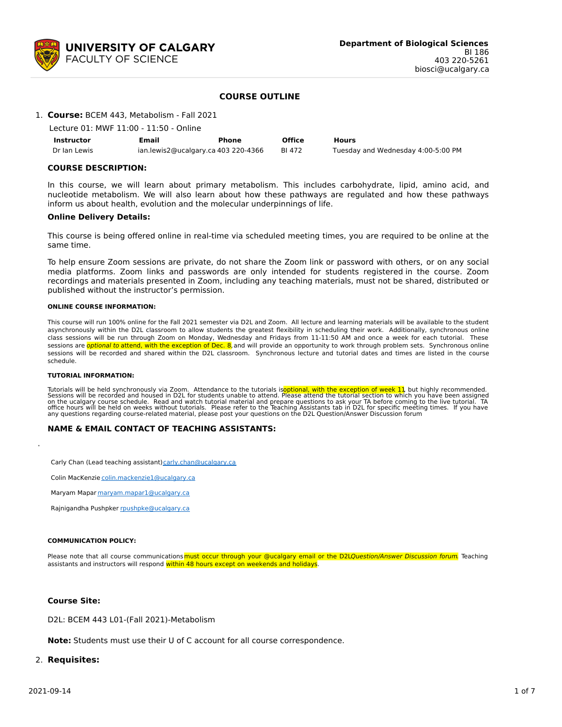

#### **COURSE OUTLINE**

#### 1. **Course:** BCEM 443, Metabolism - Fall 2021

| Lecture 01: MWF 11:00 - 11:50 - Online |  |
|----------------------------------------|--|
|----------------------------------------|--|

| Instructor   | Email                               | Phone | <b>Office</b> | Hours                              |
|--------------|-------------------------------------|-------|---------------|------------------------------------|
| Dr Ian Lewis | ian.lewis2@ucalgary.ca 403 220-4366 |       | BI 472        | Tuesday and Wednesday 4:00-5:00 PM |

#### **COURSE DESCRIPTION:**

In this course, we will learn about primary metabolism. This includes carbohydrate, lipid, amino acid, and nucleotide metabolism. We will also learn about how these pathways are regulated and how these pathways inform us about health, evolution and the molecular underpinnings of life.

#### **Online Delivery Details:**

This course is being offered online in real-time via scheduled meeting times, you are required to be online at the same time.

To help ensure Zoom sessions are private, do not share the Zoom link or password with others, or on any social media platforms. Zoom links and passwords are only intended for students registered in the course. Zoom recordings and materials presented in Zoom, including any teaching materials, must not be shared, distributed or published without the instructor's permission.

#### **ONLINE COURSE INFORMATION:**

This course will run 100% online for the Fall 2021 semester via D2L and Zoom. All lecture and learning materials will be available to the student asynchronously within the D2L classroom to allow students the greatest flexibility in scheduling their work. Additionally, synchronous online class sessions will be run through Zoom on Monday, Wednesday and Fridays from 11-11:50 AM and once a week for each tutorial. These sessions are *optional to* attend, with the exception of Dec. 8, and will provide an opportunity to work through problem sets. Synchronous online sessions will be recorded and shared within the D2L classroom. Synchronous lecture and tutorial dates and times are listed in the course schedule.

#### **TUTORIAL INFORMATION:**

Tutorials will be held synchronously via Zoom. Attendance to the tutorials is<mark>optional, with the exception of week 11</mark>, but highly recommended.<br>Sessions will be recorded and housed in D2L for students unable to attend the any questions regarding course-related material, please post your questions on the D2L Question/Answer Discussion forum

#### **NAME & EMAIL CONTACT OF TEACHING ASSISTANTS:**

Carly Chan (Lead teaching assistant) [carly.chan@ucalgary.ca](mailto:carly.chan@ucalgary.ca)

Colin MacKenzie [colin.mackenzie1@ucalgary.ca](mailto:colin.mackenzie1@ucalgary.ca)

Maryam Mapar [maryam.mapar1@ucalgary.ca](mailto:maryam.mapar1@ucalgary.ca)

Rajnigandha Pushpker [rpushpke@ucalgary.ca](mailto:rpushpke@ucalgary.ca)

#### **COMMUNICATION POLICY:**

Please note that all course communications must occur through your @ucalgary email or the D2LQuestion/Answer Discussion forum. Teaching assistants and instructors will respond within 48 hours except on weekends and holidays.

#### **Course Site:**

D2L: BCEM 443 L01-(Fall 2021)-Metabolism

**Note:** Students must use their U of C account for all course correspondence.

## 2. **Requisites:**

·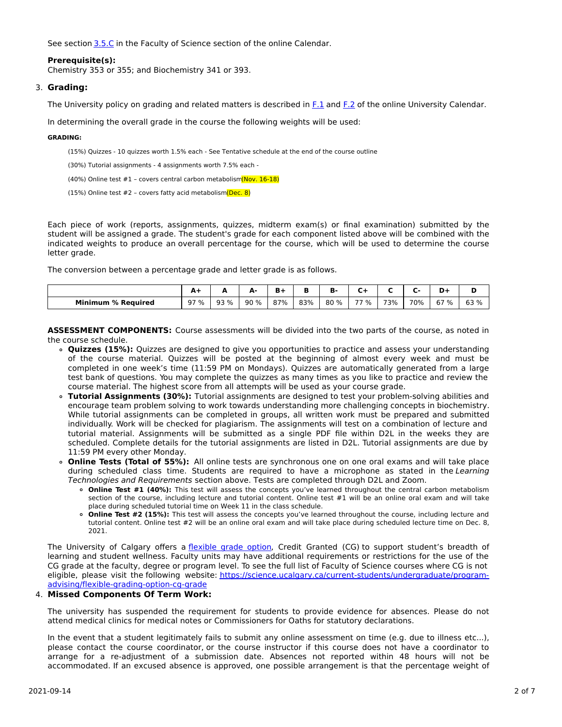See section [3.5.C](http://www.ucalgary.ca/pubs/calendar/current/sc-3-5.html) in the Faculty of Science section of the online Calendar.

#### **Prerequisite(s):**

Chemistry 353 or 355; and Biochemistry 341 or 393.

#### 3. **Grading:**

The University policy on grading and related matters is described in [F.1](http://www.ucalgary.ca/pubs/calendar/current/f-1.html) and [F.2](http://www.ucalgary.ca/pubs/calendar/current/f-2.html) of the online University Calendar.

In determining the overall grade in the course the following weights will be used:

#### **GRADING:**

(15%) Quizzes - 10 quizzes worth 1.5% each - See Tentative schedule at the end of the course outline

(30%) Tutorial assignments - 4 assignments worth 7.5% each -

(40%) Online test  $#1$  – covers central carbon metabolism (Nov. 16-18)

(15%) Online test #2 - covers fatty acid metabolism (Dec. 8)

Each piece of work (reports, assignments, quizzes, midterm exam(s) or final examination) submitted by the student will be assigned a grade. The student's grade for each component listed above will be combined with the indicated weights to produce an overall percentage for the course, which will be used to determine the course letter grade.

The conversion between a percentage grade and letter grade is as follows.

|                           | A1   |      | д.  | n   | в   | в.   |      |     |     | D+   |      |
|---------------------------|------|------|-----|-----|-----|------|------|-----|-----|------|------|
| <b>Minimum % Required</b> | 97 % | 93 % | 90% | 87% | 83% | 80 % | 77 % | 73% | 70% | 67 % | 63 % |

**ASSESSMENT COMPONENTS:** Course assessments will be divided into the two parts of the course, as noted in the course schedule.

- **Quizzes (15%):** Quizzes are designed to give you opportunities to practice and assess your understanding of the course material. Quizzes will be posted at the beginning of almost every week and must be completed in one week's time (11:59 PM on Mondays). Quizzes are automatically generated from a large test bank of questions. You may complete the quizzes as many times as you like to practice and review the course material. The highest score from all attempts will be used as your course grade.
- **Tutorial Assignments (30%):** Tutorial assignments are designed to test your problem-solving abilities and encourage team problem solving to work towards understanding more challenging concepts in biochemistry. While tutorial assignments can be completed in groups, all written work must be prepared and submitted individually. Work will be checked for plagiarism. The assignments will test on a combination of lecture and tutorial material. Assignments will be submitted as a single PDF file within D2L in the weeks they are scheduled. Complete details for the tutorial assignments are listed in D2L. Tutorial assignments are due by 11:59 PM every other Monday.
- **Online Tests (Total of 55%):** All online tests are synchronous one on one oral exams and will take place during scheduled class time. Students are required to have a microphone as stated in the Learning Technologies and Requirements section above. Tests are completed through D2L and Zoom.
	- **Online Test #1 (40%):** This test will assess the concepts you've learned throughout the central carbon metabolism section of the course, including lecture and tutorial content. Online test #1 will be an online oral exam and will take place during scheduled tutorial time on Week 11 in the class schedule.
	- **Online Test #2 (15%):** This test will assess the concepts you've learned throughout the course, including lecture and tutorial content. Online test #2 will be an online oral exam and will take place during scheduled lecture time on Dec. 8, 2021.

The University of Calgary offers a [flexible](https://www.ucalgary.ca/pubs/calendar/current/f-1-3.html) grade option, Credit Granted (CG) to support student's breadth of learning and student wellness. Faculty units may have additional requirements or restrictions for the use of the CG grade at the faculty, degree or program level. To see the full list of Faculty of Science courses where CG is not eligible, please visit the following website: [https://science.ucalgary.ca/current-students/undergraduate/program](https://science.ucalgary.ca/current-students/undergraduate/program-advising/flexible-grading-option-cg-grade)advising/flexible-grading-option-cg-grade

## 4. **Missed Components Of Term Work:**

The university has suspended the requirement for students to provide evidence for absences. Please do not attend medical clinics for medical notes or Commissioners for Oaths for statutory declarations.

In the event that a student legitimately fails to submit any online assessment on time (e.g. due to illness etc...), please contact the course coordinator, or the course instructor if this course does not have a coordinator to arrange for a re-adjustment of a submission date. Absences not reported within 48 hours will not be accommodated. If an excused absence is approved, one possible arrangement is that the percentage weight of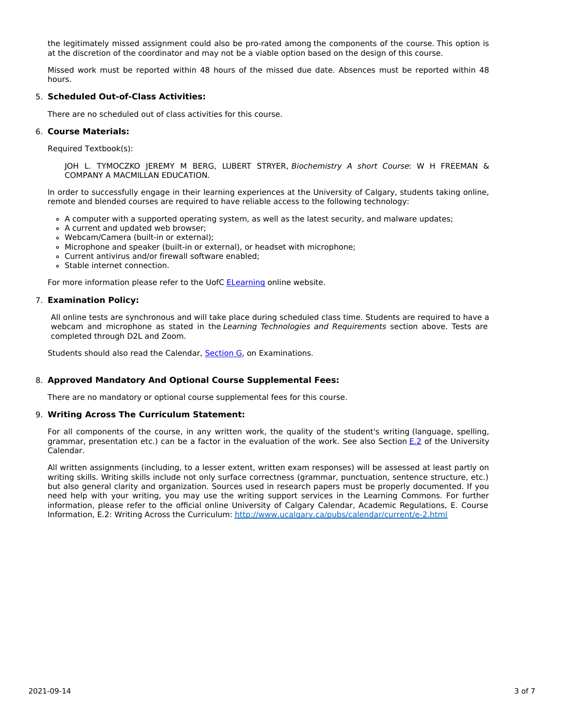the legitimately missed assignment could also be pro-rated among the components of the course. This option is at the discretion of the coordinator and may not be a viable option based on the design of this course.

Missed work must be reported within 48 hours of the missed due date. Absences must be reported within 48 hours.

## 5. **Scheduled Out-of-Class Activities:**

There are no scheduled out of class activities for this course.

#### 6. **Course Materials:**

Required Textbook(s):

JOH L. TYMOCZKO JEREMY M BERG, LUBERT STRYER, Biochemistry A short Course: W H FREEMAN & COMPANY A MACMILLAN EDUCATION.

In order to successfully engage in their learning experiences at the University of Calgary, students taking online, remote and blended courses are required to have reliable access to the following technology:

- A computer with a supported operating system, as well as the latest security, and malware updates;
- A current and updated web browser;
- Webcam/Camera (built-in or external);
- Microphone and speaker (built-in or external), or headset with microphone;
- Current antivirus and/or firewall software enabled;
- Stable internet connection.

For more information please refer to the UofC [ELearning](https://elearn.ucalgary.ca/technology-requirements-for-students) online website.

## 7. **Examination Policy:**

All online tests are synchronous and will take place during scheduled class time. Students are required to have a webcam and microphone as stated in the Learning Technologies and Requirements section above. Tests are completed through D2L and Zoom.

Students should also read the Calendar, **[Section](http://www.ucalgary.ca/pubs/calendar/current/g.html) G**, on Examinations.

## 8. **Approved Mandatory And Optional Course Supplemental Fees:**

There are no mandatory or optional course supplemental fees for this course.

#### 9. **Writing Across The Curriculum Statement:**

For all components of the course, in any written work, the quality of the student's writing (language, spelling, grammar, presentation etc.) can be a factor in the evaluation of the work. See also Section [E.2](http://www.ucalgary.ca/pubs/calendar/current/e-2.html) of the University Calendar.

All written assignments (including, to a lesser extent, written exam responses) will be assessed at least partly on writing skills. Writing skills include not only surface correctness (grammar, punctuation, sentence structure, etc.) but also general clarity and organization. Sources used in research papers must be properly documented. If you need help with your writing, you may use the writing support services in the Learning Commons. For further information, please refer to the official online University of Calgary Calendar, Academic Regulations, E. Course Information, E.2: Writing Across the Curriculum: <http://www.ucalgary.ca/pubs/calendar/current/e-2.html>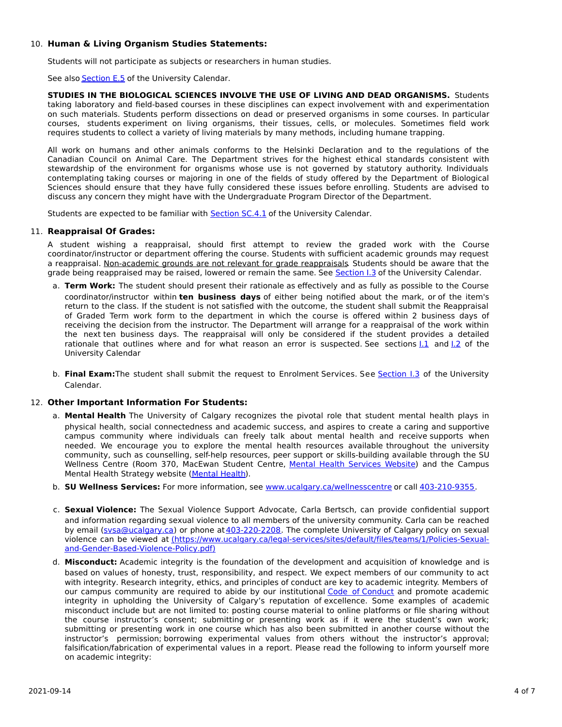## 10. **Human & Living Organism Studies Statements:**

Students will not participate as subjects or researchers in human studies.

See also **[Section](http://www.ucalgary.ca/pubs/calendar/current/e-5.html) E.5** of the University Calendar.

**STUDIES IN THE BIOLOGICAL SCIENCES INVOLVE THE USE OF LIVING AND DEAD ORGANISMS.** Students taking laboratory and field-based courses in these disciplines can expect involvement with and experimentation on such materials. Students perform dissections on dead or preserved organisms in some courses. In particular courses, students experiment on living organisms, their tissues, cells, or molecules. Sometimes field work requires students to collect a variety of living materials by many methods, including humane trapping.

All work on humans and other animals conforms to the Helsinki Declaration and to the regulations of the Canadian Council on Animal Care. The Department strives for the highest ethical standards consistent with stewardship of the environment for organisms whose use is not governed by statutory authority. Individuals contemplating taking courses or majoring in one of the fields of study offered by the Department of Biological Sciences should ensure that they have fully considered these issues before enrolling. Students are advised to discuss any concern they might have with the Undergraduate Program Director of the Department.

Students are expected to be familiar with **[Section](http://www.ucalgary.ca/pubs/calendar/current/sc-4-1.html) SC.4.1** of the University Calendar.

## 11. **Reappraisal Of Grades:**

A student wishing a reappraisal, should first attempt to review the graded work with the Course coordinator/instructor or department offering the course. Students with sufficient academic grounds may request a reappraisal. Non-academic grounds are not relevant for grade reappraisals. Students should be aware that the grade being reappraised may be raised, lowered or remain the same. See [Section](http://www.ucalgary.ca/pubs/calendar/current/i-3.html) I.3 of the University Calendar.

- a. **Term Work:** The student should present their rationale as effectively and as fully as possible to the Course coordinator/instructor within **ten business days** of either being notified about the mark, or of the item's return to the class. If the student is not satisfied with the outcome, the student shall submit the Reappraisal of Graded Term work form to the department in which the course is offered within 2 business days of receiving the decision from the instructor. The Department will arrange for a reappraisal of the work within the next ten business days. The reappraisal will only be considered if the student provides a detailed rationale that outlines where and for what reason an error is suspected. See sections  $1.1$  and  $1.2$  of the University Calendar
- b. **Final Exam:**The student shall submit the request to Enrolment Services. See [Section](http://www.ucalgary.ca/pubs/calendar/current/i-3.html) I.3 of the University Calendar.

## 12. **Other Important Information For Students:**

- a. **Mental Health** The University of Calgary recognizes the pivotal role that student mental health plays in physical health, social connectedness and academic success, and aspires to create a caring and supportive campus community where individuals can freely talk about mental health and receive supports when needed. We encourage you to explore the mental health resources available throughout the university community, such as counselling, self-help resources, peer support or skills-building available through the SU Wellness Centre (Room 370, MacEwan Student Centre, Mental Health [Services](https://www.ucalgary.ca/wellnesscentre/services/mental-health-services) Website) and the Campus Mental Health Strategy website [\(Mental](http://www.ucalgary.ca/mentalhealth) Health).
- b. **SU Wellness Services:** For more information, see [www.ucalgary.ca/wellnesscentre](http://www.ucalgary.ca/wellnesscentre) or call [403-210-9355.](tel:4032109355)
- c. **Sexual Violence:** The Sexual Violence Support Advocate, Carla Bertsch, can provide confidential support and information regarding sexual violence to all members of the university community. Carla can be reached by email [\(svsa@ucalgary.ca](mailto:svsa@ucalgary.ca)) or phone at [403-220-2208](tel:4032202208). The complete University of Calgary policy on sexual violence can be viewed at [\(https://www.ucalgary.ca/legal-services/sites/default/files/teams/1/Policies-Sexual](https://www.ucalgary.ca/legal-services/sites/default/files/teams/1/Policies-Sexual-and-Gender-Based-Violence-Policy.pdf)and-Gender-Based-Violence-Policy.pdf)
- d. **Misconduct:** Academic integrity is the foundation of the development and acquisition of knowledge and is based on values of honesty, trust, responsibility, and respect. We expect members of our community to act with integrity. Research integrity, ethics, and principles of conduct are key to academic integrity. Members of our campus community are required to abide by our institutional Code of [Conduct](https://www.ucalgary.ca/legal-services/sites/default/files/teams/1/Policies-Code-of-Conduct.pdf) and promote academic integrity in upholding the University of Calgary's reputation of excellence. Some examples of academic misconduct include but are not limited to: posting course material to online platforms or file sharing without the course instructor's consent; submitting or presenting work as if it were the student's own work; submitting or presenting work in one course which has also been submitted in another course without the instructor's permission; borrowing experimental values from others without the instructor's approval; falsification/fabrication of experimental values in a report. Please read the following to inform yourself more on academic integrity: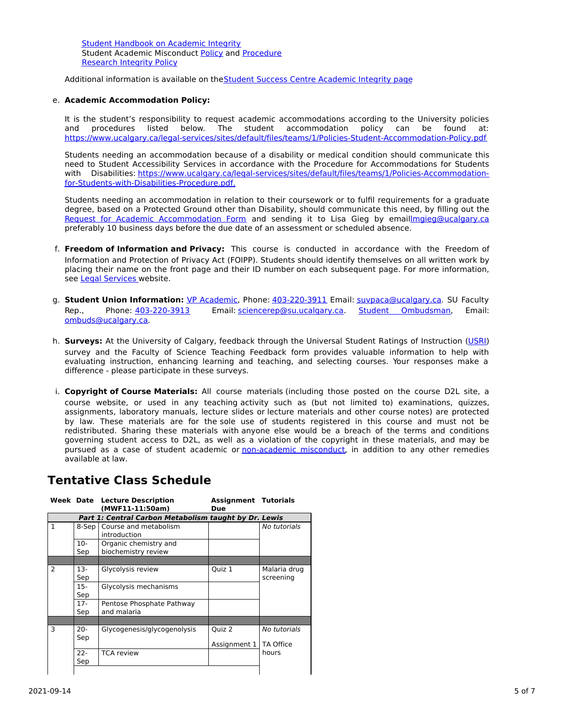Student [Handbook](https://www.ucalgary.ca/live-uc-ucalgary-site/sites/default/files/teams/9/AI-Student-handbook-1.pdf) on Academic Integrity Student Academic Misconduct [Policy](https://www.ucalgary.ca/legal-services/sites/default/files/teams/1/Policies-Student-Academic-Misconduct-Policy.pdf) and [Procedure](https://www.ucalgary.ca/legal-services/sites/default/files/teams/1/Policies-Student-Academic-Misconduct-Procedure.pdf) [Research](https://www.ucalgary.ca/legal-services/sites/default/files/teams/1/Policies-Research-Integrity-Policy.pdf) Integrity Policy

Additional information is available on theStudent Success Centre [Academic](https://ucalgary.ca/student-services/student-success/learning/academic-integrity) Integrity page

## e. **Academic Accommodation Policy:**

It is the student's responsibility to request academic accommodations according to the University policies and procedures listed below. The student accommodation policy can be found at: <https://www.ucalgary.ca/legal-services/sites/default/files/teams/1/Policies-Student-Accommodation-Policy.pdf>

Students needing an accommodation because of a disability or medical condition should communicate this need to Student Accessibility Services in accordance with the Procedure for Accommodations for Students with Disabilities: [https://www.ucalgary.ca/legal-services/sites/default/files/teams/1/Policies-Accommodation](https://www.ucalgary.ca/legal-services/sites/default/files/teams/1/Policies-Accommodation-for-Students-with-Disabilities-Procedure.pdf)for-Students-with-Disabilities-Procedure.pdf.

Students needing an accommodation in relation to their coursework or to fulfil requirements for a graduate degree, based on a Protected Ground other than Disability, should communicate this need, by filling out the Request for Academic [Accommodation](https://science.ucalgary.ca/sites/default/files/teams/1/request-accommodation-academic-courses.pdf) Form and sending it to Lisa Gieg by emai[llmgieg@ucalgary.ca](mailto:lmgieg@ucalgary.ca) preferably 10 business days before the due date of an assessment or scheduled absence.

- f. **Freedom of Information and Privacy:** This course is conducted in accordance with the Freedom of Information and Protection of Privacy Act (FOIPP). Students should identify themselves on all written work by placing their name on the front page and their ID number on each subsequent page. For more information, see Legal [Services](https://www.ucalgary.ca/legal-services/access-information-privacy) website.
- g. **Student Union Information:** VP [Academic](http://www.su.ucalgary.ca/contact), Phone: [403-220-3911](tel:4032203911) Email: [suvpaca@ucalgary.ca](mailto:suvpaca@ucalgary.ca). SU Faculty Rep., Phone: [403-220-3913](tel:4032203913) Email: [sciencerep@su.ucalgary.ca](mailto:sciencerep@su.ucalgary.ca). Student [Ombudsman](https://www.ucalgary.ca/ombuds/), Email: [ombuds@ucalgary.ca](mailto:%20ombuds@ucalgary.ca).
- h. **Surveys:** At the University of Calgary, feedback through the Universal Student Ratings of Instruction [\(USRI](http://www.ucalgary.ca/usri)) survey and the Faculty of Science Teaching Feedback form provides valuable information to help with evaluating instruction, enhancing learning and teaching, and selecting courses. Your responses make a difference - please participate in these surveys.
- i. **Copyright of Course Materials:** All course materials (including those posted on the course D2L site, a course website, or used in any teaching activity such as (but not limited to) examinations, quizzes, assignments, laboratory manuals, lecture slides or lecture materials and other course notes) are protected by law. These materials are for the sole use of students registered in this course and must not be redistributed. Sharing these materials with anyone else would be a breach of the terms and conditions governing student access to D2L, as well as a violation of the copyright in these materials, and may be pursued as a case of student academic or [non-academic](https://www.ucalgary.ca/conduct/policy/non-academic-misconduct-policy) misconduct, in addition to any other remedies available at law.

# **Tentative Class Schedule**

|              |                                                       | <b>Week Date Lecture Description</b><br>(MWF11-11:50am) | <b>Assignment Tutorials</b><br>Due |                           |
|--------------|-------------------------------------------------------|---------------------------------------------------------|------------------------------------|---------------------------|
|              | Part 1: Central Carbon Metabolism taught by Dr. Lewis |                                                         |                                    |                           |
| $\mathbf{1}$ | 8-Sep                                                 | Course and metabolism<br>introduction                   |                                    | No tutorials              |
|              | 10-<br>Sep                                            | Organic chemistry and<br>biochemistry review            |                                    |                           |
|              |                                                       |                                                         |                                    |                           |
| 2            | $13-$<br>Sep                                          | Glycolysis review                                       | Quiz 1                             | Malaria drug<br>screening |
|              | $15-$<br>Sep                                          | Glycolysis mechanisms                                   |                                    |                           |
|              | $17-$<br>Sep                                          | Pentose Phosphate Pathway<br>and malaria                |                                    |                           |
|              |                                                       |                                                         |                                    |                           |
| 3            | 20-<br>Sep                                            | Glycogenesis/glycogenolysis                             | Ouiz <sub>2</sub>                  | No tutorials              |
|              | $22 -$<br>Sep                                         | <b>TCA</b> review                                       | Assignment 1                       | TA Office<br>hours        |
|              |                                                       |                                                         |                                    |                           |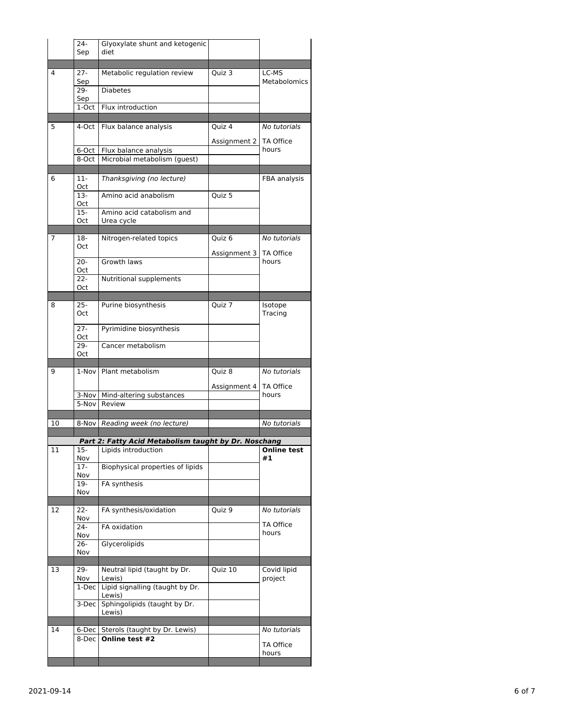|    | 24-<br>Sep       | Glyoxylate shunt and ketogenic<br>diet                |              |                        |
|----|------------------|-------------------------------------------------------|--------------|------------------------|
|    |                  |                                                       |              |                        |
| 4  | $27 -$<br>Sep    | Metabolic regulation review                           | $Quiz$ 3     | LC-MS<br>Metabolomics  |
|    | 29-<br>Sep       | <b>Diabetes</b>                                       |              |                        |
|    | 1-Oct            | Flux introduction                                     |              |                        |
| 5  | 4-Oct            | Flux balance analysis                                 | Quiz 4       | No tutorials           |
|    |                  |                                                       | Assignment 2 | <b>TA Office</b>       |
|    | 6-Oct  <br>8-Oct | Flux balance analysis<br>Microbial metabolism (guest) |              | hours                  |
|    |                  |                                                       |              |                        |
| 6  | 11-<br>Oct       | Thanksgiving (no lecture)                             |              | FBA analysis           |
|    | $13-$<br>Oct     | Amino acid anabolism                                  | Quiz 5       |                        |
|    | 15-<br>Oct       | Amino acid catabolism and<br>Urea cycle               |              |                        |
| 7  |                  |                                                       |              |                        |
|    | 18-<br>Oct       | Nitrogen-related topics                               | Quiz 6       | No tutorials           |
|    |                  |                                                       | Assignment 3 | TA Office              |
|    | $20 -$<br>Oct    | Growth laws                                           |              | hours                  |
|    | $22 -$           | Nutritional supplements                               |              |                        |
|    | Oct              |                                                       |              |                        |
| 8  | $25 -$           | Purine biosynthesis                                   | Quiz 7       | Isotope                |
|    | Oct              |                                                       |              | Tracing                |
|    | $27 -$<br>Oct    | Pyrimidine biosynthesis                               |              |                        |
|    | 29-              | Cancer metabolism                                     |              |                        |
|    | Oct              |                                                       |              |                        |
|    |                  |                                                       |              |                        |
| 9  |                  | 1-Nov Plant metabolism                                | Quiz 8       | No tutorials           |
|    |                  |                                                       | Assignment 4 | TA Office              |
|    |                  | 3-Nov   Mind-altering substances                      |              | hours                  |
|    | 5-Nov            | Review                                                |              |                        |
|    |                  |                                                       |              |                        |
| 10 |                  | 8-Nov Reading week (no lecture)                       |              | No tutorials           |
|    |                  | Part 2: Fatty Acid Metabolism taught by Dr. Noschang  |              |                        |
| 11 | 15-<br>Nov       | Lipids introduction                                   |              | Online test<br>#1      |
|    | 17-<br>Nov       | Biophysical properties of lipids                      |              |                        |
|    | 19-              | FA synthesis                                          |              |                        |
|    | Nov              |                                                       |              |                        |
| 12 | 22-<br>Nov       | FA synthesis/oxidation                                | Quiz 9       | No tutorials           |
|    | 24-              | FA oxidation                                          |              | TA Office<br>hours     |
|    | Nov<br>26-       | Glycerolipids                                         |              |                        |
|    | Nov              |                                                       |              |                        |
| 13 | 29-<br>Nov       | Neutral lipid (taught by Dr.<br>Lewis)                | Quiz 10      | Covid lipid<br>project |
|    | 1-Dec            | Lipid signalling (taught by Dr.<br>Lewis)             |              |                        |
|    | 3-Dec            | Sphingolipids (taught by Dr.<br>Lewis)                |              |                        |
|    |                  |                                                       |              |                        |
| 14 | 6-Dec            | Sterols (taught by Dr. Lewis)                         |              | No tutorials           |
|    | 8-Dec            | Online test #2                                        |              | TA Office<br>hours     |